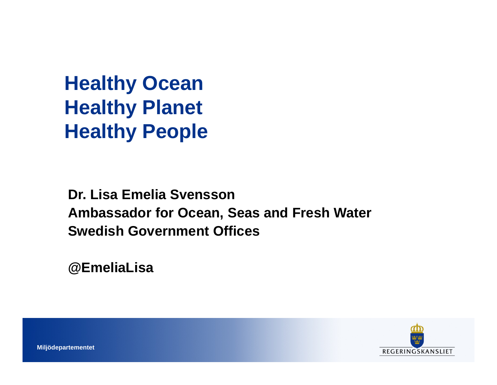**Healthy Ocean Healthy Planet Healthy People**

**Dr. Lisa Emelia Svensson Ambassador for Ocean, Seas and Fresh WaterSwedish Government Offices** 

**@EmeliaLisa**

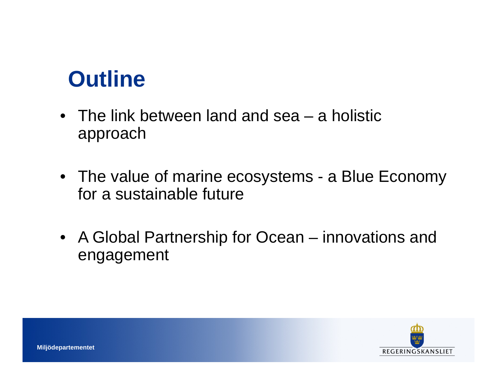#### **Outline**

- The link between land and sea a holisticapproach
- The value of marine ecosystems <sup>a</sup> Blue Economy for a sustainable future
- A Global Partnership for Ocean innovations and engagement

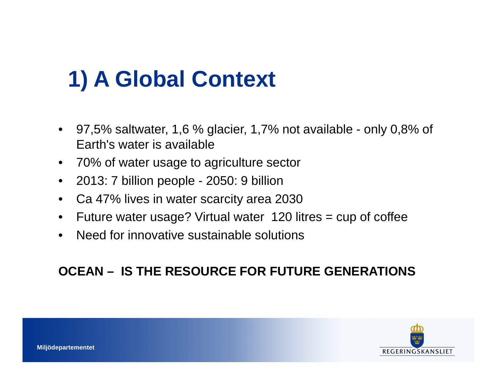# **1) A Global Context**

- 97,5% saltwater, 1,6 % glacier, 1,7% not available only 0,8% of Earth's water is available
- 70% of water usage to agriculture sector
- 2013: 7 billion people 2050: 9 billion
- $\bullet$ Ca 47% lives in water scarcity area 2030
- $\bullet$ Future water usage? Virtual water 120 litres <sup>=</sup> cup of coffee
- $\bullet$ Need for innovative sustainable solutions

#### **OCEAN – IS THE RESOURCE FOR FUTURE GENERATIONS**

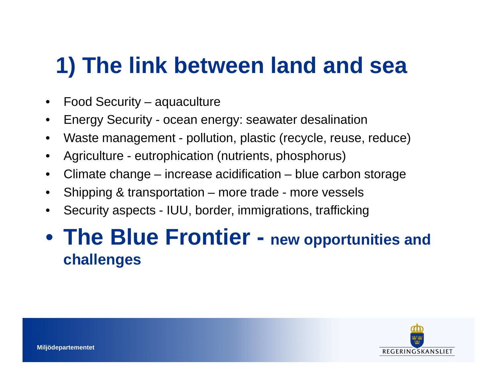#### **1) The link between land and sea**

- $\bullet$ Food Security – aquaculture
- •Energy Security - ocean energy: seawater desalination
- Waste management pollution, plastic (recycle, reuse, reduce) $\bullet$
- •Agriculture - eutrophication (nutrients, phosphorus)
- $\bullet$ Climate change – increase acidification – blue carbon storage
- •Shipping & transportation – more trade - more vessels
- •Security aspects - IUU, border, immigrations, trafficking

#### • **The Blue Frontier - new opportunities and challenges**

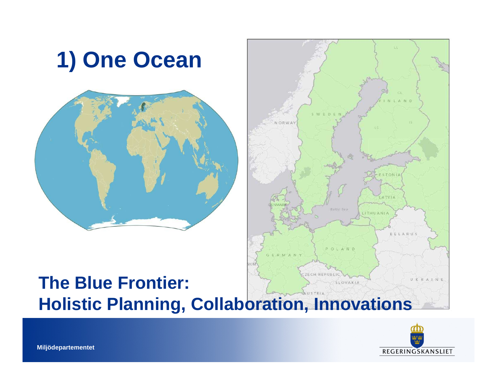

#### ECH REPUBLIC **The Blue Frontier:** UKRAIN SLOVAKIA **Holistic Planning, Collaboration, Innovations**

A M/ Q O M



 $M$ 

STON

A TVIA

BELARUS

ITHUANIA

POLAND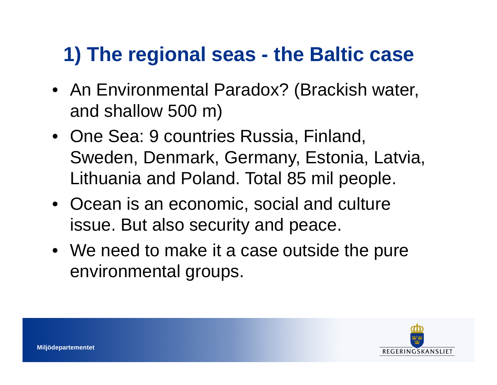#### **1) The regional seas - the Baltic case**

- An Environmental Paradox? (Brackish water, and shallow 500 m)
- One Sea: 9 countries Russia, Finland, Sweden, Denmark, Germany, Estonia, Latvia, Lithuania and Poland. Total 85 mil people.
- Ocean is an economic, social and culture issue. But also security and peace.
- We need to make it a case outside the pure environmental groups.

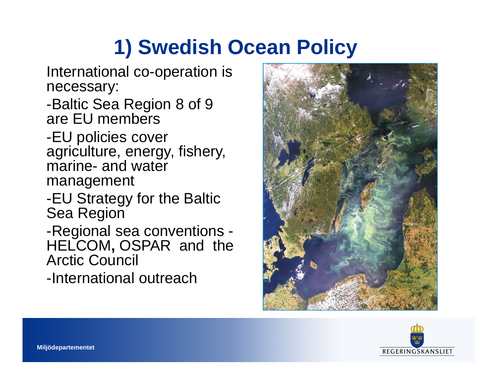#### **1) Swedish Ocean Policy**

International co-operation is necessary:

-Baltic Sea Region 8 of 9 are EU members

 -EU policies cover agriculture, energy, fishery, marine- and water management

-EU Strategy for the Baltic Sea Region

-Regional sea conventions - HELCOM**,** OSPAR and the Arctic Council

-International outreach



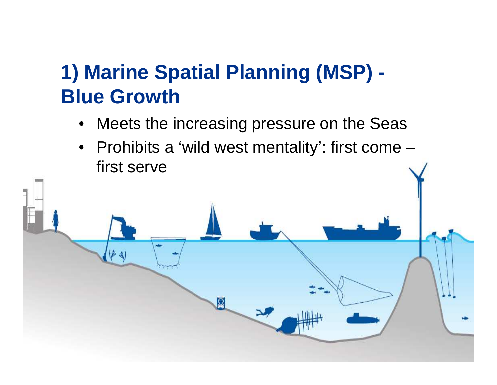#### **1) Marine Spatial Planning (MSP) -Blue Growth**

 $\Omega$ 

- Meets the increasing pressure on the Seas $\bullet$
- Prohibits a 'wild west mentality': first come –first serve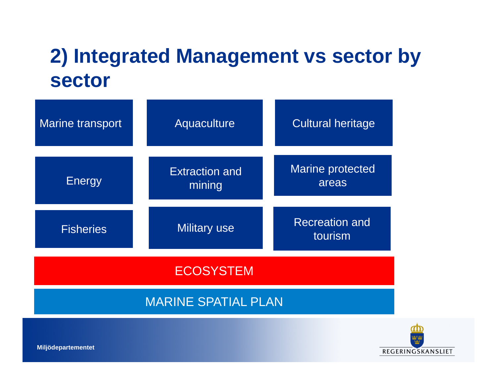#### **2) Integrated Management vs sector by sector**

| <b>Marine transport</b>    | Aquaculture                     | <b>Cultural heritage</b>         |
|----------------------------|---------------------------------|----------------------------------|
| <b>Energy</b>              | <b>Extraction and</b><br>mining | <b>Marine protected</b><br>areas |
| <b>Fisheries</b>           | <b>Military use</b>             | <b>Recreation and</b><br>tourism |
| <b>ECOSYSTEM</b>           |                                 |                                  |
| <b>MARINE SPATIAL PLAN</b> |                                 |                                  |

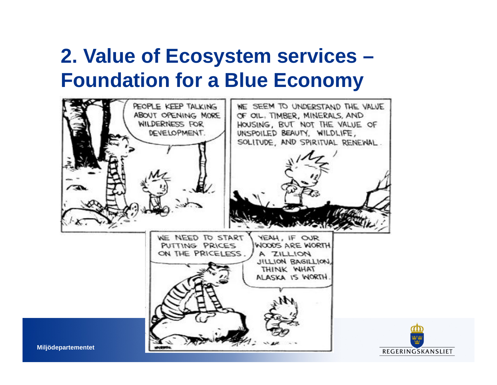#### **2. Value of Ecosystem services – Foundation for a Blue Economy**



REGERINGSKANSLIET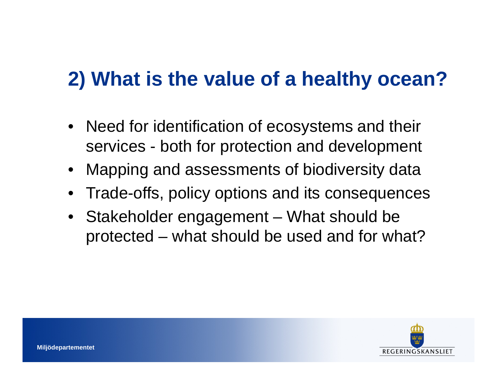## **2) What is the value of a healthy ocean?**

- $\bullet$  Need for identification of ecosystems and their services - both for protection and development
- $\bullet$ Mapping and assessments of biodiversity data
- Trade-offs, policy options and its consequences
- Stakeholder engagement What should be protected – what should be used and for what?

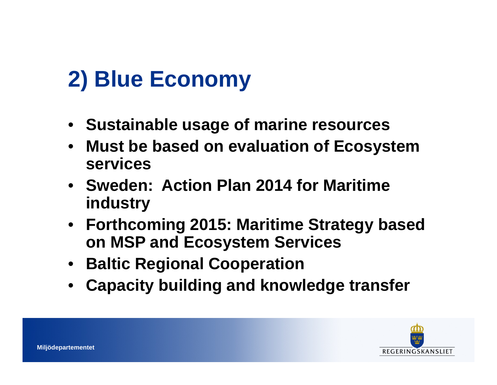## **2) Blue Economy**

- **Sustainable usage of marine resources**
- **Must be based on evaluation of Ecosystem**   $\bullet$ **services**
- **Sweden: Action Plan 2014 for Maritimeindustry**
- **Forthcoming 2015: Maritime Strategy basedon MSP and Ecosystem Services**
- **Baltic Regional Cooperation**
- **Capacity building and knowledge transfer**•

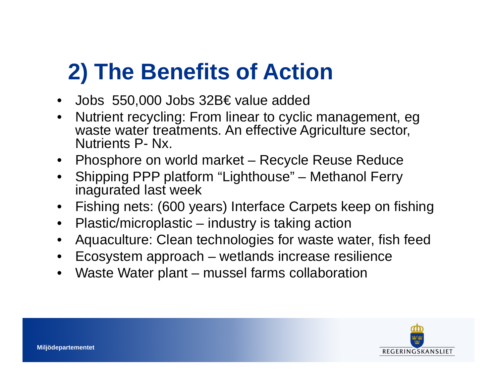#### **2) The Benefits of Action**

- Jobs 550,000 Jobs 32B€ value added
- • Nutrient recycling: From linear to cyclic management, egwaste water treatments. An effective Agriculture sector, Nutrients P- Nx.
- Phosphore on world market Recycle Reuse Reduce
- Shipping PPP platform "Lighthouse" Methanol Ferryinagurated last week
- •Fishing nets: (600 years) Interface Carpets keep on fishing
- •Plastic/microplastic – industry is taking action
- •Aquaculture: Clean technologies for waste water, fish feed
- •Ecosystem approach – wetlands increase resilience
- •Waste Water plant – mussel farms collaboration

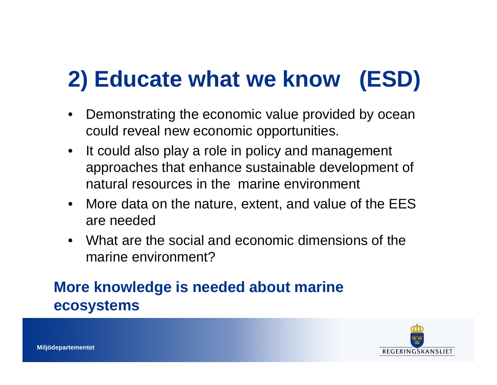# **2) Educate what we know (ESD)**

- • Demonstrating the economic value provided by oceancould reveal new economic opportunities.
- $\bullet$  It could also play a role in policy and management approaches that enhance sustainable development of natural resources in the marine environment
- $\bullet$  More data on the nature, extent, and value of the EES are needed
- What are the social and economic dimensions of the $\bullet$ marine environment?

#### **More knowledge is needed about marine ecosystems**

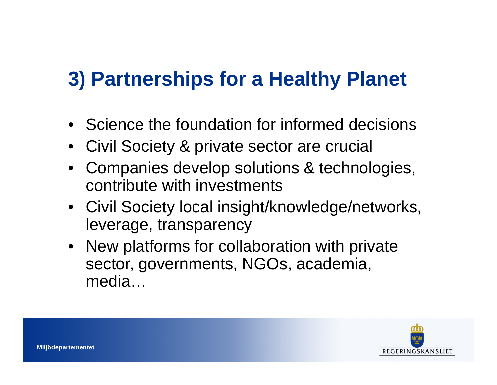## **3) Partnerships for a Healthy Planet**

- Science the foundation for informed decisions
- •Civil Society & private sector are crucial
- Companies develop solutions & technologies, contribute with investments
- Civil Society local insight/knowledge/networks, leverage, transparency
- New platforms for collaboration with private sector, governments, NGOs, academia, media…

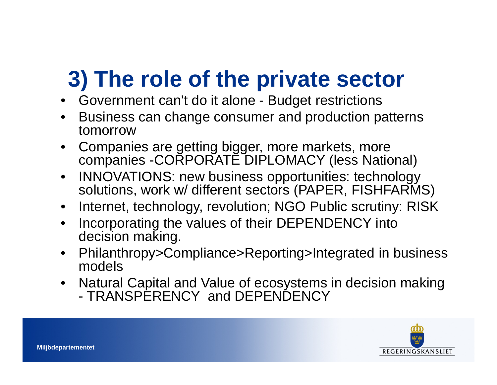## **3) The role of the private sector**

- Government can't do it alone Budget restrictions
- Business can change consumer and production patterns  $\bullet$ tomorrow
- Companies are getting bigger, more markets, more •companies -CORPORATE DIPLOMACY (less National)
- $\bullet$  INNOVATIONS: new business opportunities: technology solutions, work w/ different sectors (PAPER, FISHFARMS)
- •Internet, technology, revolution; NGO Public scrutiny: RISK
- • Incorporating the values of their DEPENDENCY into decision making.
- • Philanthropy>Compliance>Reporting>Integrated in business models
- • Natural Capital and Value of ecosystems in decision making -TRANSPERENCY and DEPENDENCY

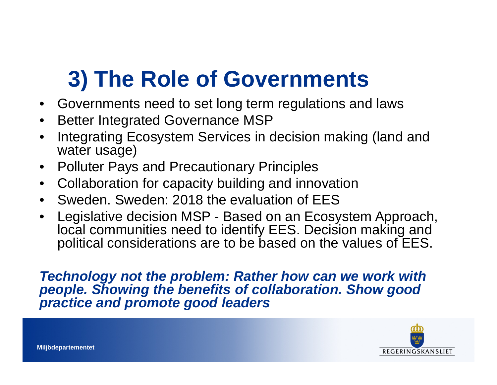## **3) The Role of Governments**

- •Governments need to set long term regulations and laws
- •Better Integrated Governance MSP
- • Integrating Ecosystem Services in decision making (land and water usage)
- •Polluter Pays and Precautionary Principles
- Collaboration for capacity building and innovation $\bullet$
- •Sweden. Sweden: 2018 the evaluation of EES
- $\bullet$  Legislative decision MSP - Based on an Ecosystem Approach, local communities need to identify EES. Decision making and political considerations are to be based on the values of EES.

**Technology not the problem: Rather how can we work with people. Showing the benefits of collaboration. Show good practice and promote good leaders**